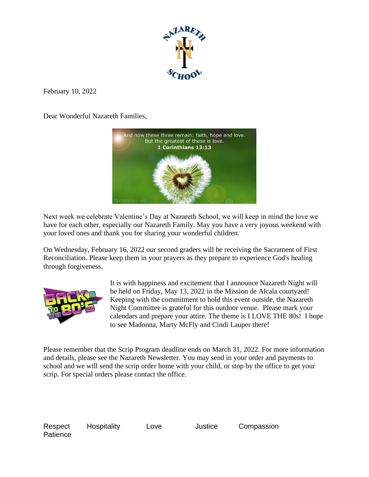

February 10, 2022

Dear Wonderful Nazareth Families,



Next week we celebrate Valentine's Day at Nazareth School, we will keep in mind the love we have for each other, especially our Nazareth Family. May you have a very joyous weekend with your loved ones and thank you for sharing your wonderful children.

On Wednesday, February 16, 2022 our second graders will be receiving the Sacrament of First Reconciliation. Please keep them in your prayers as they prepare to experience God's healing through forgiveness.



It is with happiness and excitement that I announce Nazareth Night will be held on Friday, May 13, 2022 in the Mission de Alcala courtyard! Keeping with the commitment to hold this event outside, the Nazareth Night Committee is grateful for this outdoor venue. Please mark your calendars and prepare your attire. The theme is I LOVE THE 80s! I hope to see Madonna, Marty McFly and Cindi Lauper there!

Please remember that the Scrip Program deadline ends on March 31, 2022. For more information and details, please see the Nazareth Newsletter. You may send in your order and payments to school and we will send the scrip order home with your child, or stop by the office to get your scrip. For special orders please contact the office.

Respect Hospitality Love Justice Compassion **Patience**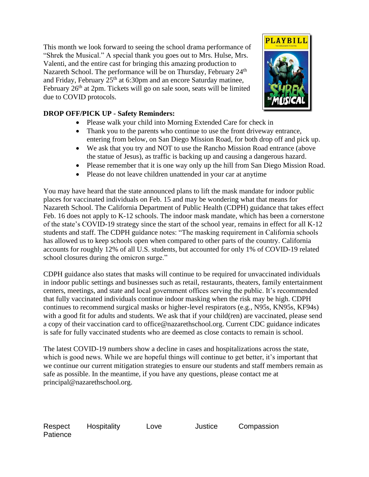This month we look forward to seeing the school drama performance of "Shrek the Musical." A special thank you goes out to Mrs. Hulse, Mrs. Valenti, and the entire cast for bringing this amazing production to Nazareth School. The performance will be on Thursday, February 24<sup>th</sup> and Friday, February 25th at 6:30pm and an encore Saturday matinee, February  $26<sup>th</sup>$  at  $2pm$ . Tickets will go on sale soon, seats will be limited due to COVID protocols.



## **DROP OFF/PICK UP - Safety Reminders:**

- Please walk your child into Morning Extended Care for check in
- Thank you to the parents who continue to use the front driveway entrance, entering from below, on San Diego Mission Road, for both drop off and pick up.
- We ask that you try and NOT to use the Rancho Mission Road entrance (above the statue of Jesus), as traffic is backing up and causing a dangerous hazard.
- Please remember that it is one way only up the hill from San Diego Mission Road.
- Please do not leave children unattended in your car at anytime

You may have heard that the state announced plans to lift the mask mandate for indoor public places for vaccinated individuals on Feb. 15 and may be wondering what that means for Nazareth School. The California Department of Public Health (CDPH) guidance that takes effect Feb. 16 does not apply to K-12 schools. The indoor mask mandate, which has been a cornerstone of the state's COVID-19 strategy since the start of the school year, remains in effect for all K-12 students and staff. The CDPH guidance notes: "The masking requirement in California schools has allowed us to keep schools open when compared to other parts of the country. California accounts for roughly 12% of all U.S. students, but accounted for only 1% of COVID-19 related school closures during the omicron surge."

CDPH guidance also states that masks will continue to be required for unvaccinated individuals in indoor public settings and businesses such as retail, restaurants, theaters, family entertainment centers, meetings, and state and local government offices serving the public. It's recommended that fully vaccinated individuals continue indoor masking when the risk may be high. CDPH continues to recommend surgical masks or higher-level respirators (e.g., N95s, KN95s, KF94s) with a good fit for adults and students. We ask that if your child(ren) are vaccinated, please send a copy of their vaccination card to office@nazarethschool.org. Current CDC guidance indicates is safe for fully vaccinated students who are deemed as close contacts to remain is school.

The latest COVID-19 numbers show a decline in cases and hospitalizations across the state, which is good news. While we are hopeful things will continue to get better, it's important that we continue our current mitigation strategies to ensure our students and staff members remain as safe as possible. In the meantime, if you have any questions, please contact me at principal@nazarethschool.org.